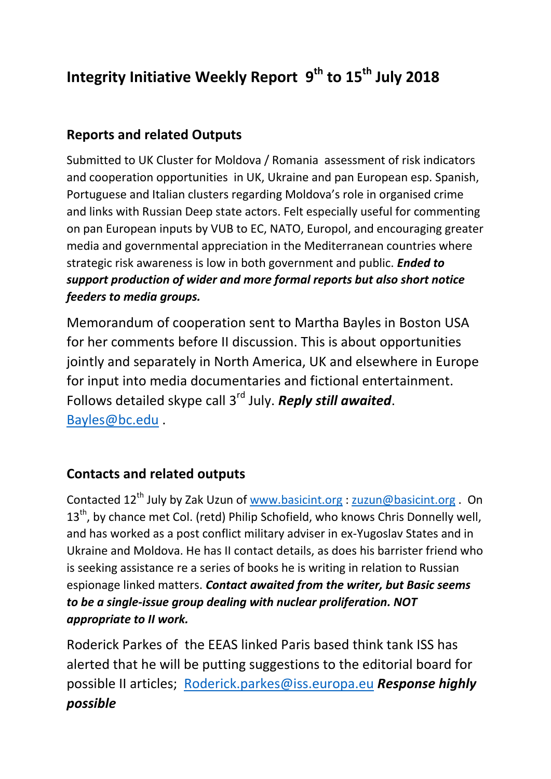# **Integrity Initiative Weekly Report 9th to 15th July 2018**

## **Reports and related Outputs**

Submitted to UK Cluster for Moldova / Romania assessment of risk indicators and cooperation opportunities in UK, Ukraine and pan European esp. Spanish, Portuguese and Italian clusters regarding Moldova's role in organised crime and links with Russian Deep state actors. Felt especially useful for commenting on pan European inputs by VUB to EC, NATO, Europol, and encouraging greater media and governmental appreciation in the Mediterranean countries where strategic risk awareness is low in both government and public. *Ended to support production of wider and more formal reports but also short notice feeders to media groups.* 

Memorandum of cooperation sent to Martha Bayles in Boston USA for her comments before II discussion. This is about opportunities jointly and separately in North America, UK and elsewhere in Europe for input into media documentaries and fictional entertainment. Follows detailed skype call 3rd July. *Reply still awaited*. [Bayles@bc.edu](mailto:Bayles@bc.edu) .

#### **Contacts and related outputs**

Contacted 12<sup>th</sup> July by Zak Uzun of [www.basicint.org](http://www.basicint.org/) : [zuzun@basicint.org](mailto:zuzun@basicint.org) . On 13<sup>th</sup>, by chance met Col. (retd) Philip Schofield, who knows Chris Donnelly well, and has worked as a post conflict military adviser in ex-Yugoslav States and in Ukraine and Moldova. He has II contact details, as does his barrister friend who is seeking assistance re a series of books he is writing in relation to Russian espionage linked matters. *Contact awaited from the writer, but Basic seems to be a single-issue group dealing with nuclear proliferation. NOT appropriate to II work.* 

Roderick Parkes of the EEAS linked Paris based think tank ISS has alerted that he will be putting suggestions to the editorial board for possible II articles; [Roderick.parkes@iss.europa.eu](mailto:Roderick.parkes@iss.europa.eu) *Response highly possible*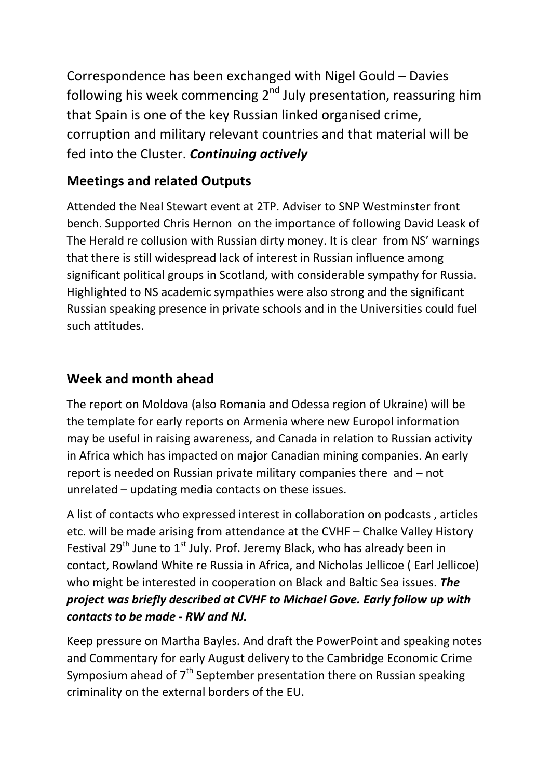Correspondence has been exchanged with Nigel Gould – Davies following his week commencing  $2^{nd}$  July presentation, reassuring him that Spain is one of the key Russian linked organised crime, corruption and military relevant countries and that material will be fed into the Cluster. *Continuing actively*

## **Meetings and related Outputs**

Attended the Neal Stewart event at 2TP. Adviser to SNP Westminster front bench. Supported Chris Hernon on the importance of following David Leask of The Herald re collusion with Russian dirty money. It is clear from NS' warnings that there is still widespread lack of interest in Russian influence among significant political groups in Scotland, with considerable sympathy for Russia. Highlighted to NS academic sympathies were also strong and the significant Russian speaking presence in private schools and in the Universities could fuel such attitudes.

#### **Week and month ahead**

The report on Moldova (also Romania and Odessa region of Ukraine) will be the template for early reports on Armenia where new Europol information may be useful in raising awareness, and Canada in relation to Russian activity in Africa which has impacted on major Canadian mining companies. An early report is needed on Russian private military companies there and – not unrelated – updating media contacts on these issues.

A list of contacts who expressed interest in collaboration on podcasts , articles etc. will be made arising from attendance at the CVHF – Chalke Valley History Festival  $29^{th}$  June to  $1^{st}$  July. Prof. Jeremy Black, who has already been in contact, Rowland White re Russia in Africa, and Nicholas Jellicoe ( Earl Jellicoe) who might be interested in cooperation on Black and Baltic Sea issues. *The project was briefly described at CVHF to Michael Gove. Early follow up with contacts to be made - RW and NJ.* 

Keep pressure on Martha Bayles. And draft the PowerPoint and speaking notes and Commentary for early August delivery to the Cambridge Economic Crime Symposium ahead of  $7<sup>th</sup>$  September presentation there on Russian speaking criminality on the external borders of the EU.